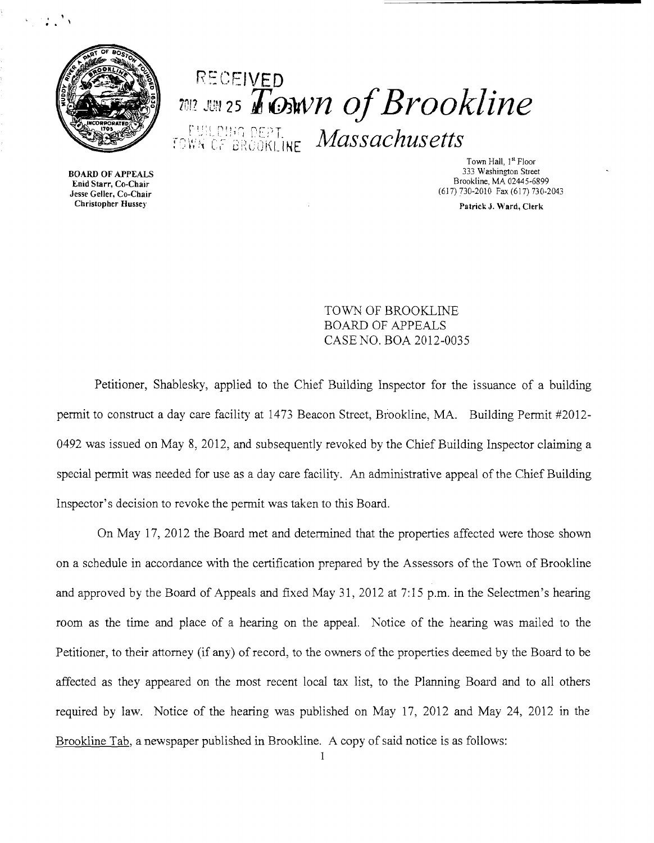

 $\mathbb{R}$  .  $\mathbb{R}$ 

# RECEIVED inl? JUN25 *TOJwn OfBrookline* r: III pela not

 $r_{\text{GWR}}$ ice Brookline  $\textit{Massachusetts}$ 

Town Hall, 1<sup>st</sup> Floor<br>333 Washington Street Brookline, MA 02445-6899<br>
Brookline, MA 02445-6899<br>
Jesse Geller, Co-Chair (617) 730-2010 Fax (617) 730-2010 (617) 730-2010 Fax (617) 730-2043

**BOARD OF APPEALS** Christopher Husse)' Patrick J. Ward, Clerk

> TOWN OF BROOKLINE BOARD OF APPEALS CASE NO. BOA 2012-0035

Petitioner, Shablesky, applied to the Chief Building Inspector for the issuance of a building permit to construct a day care facility at 1473 Beacon Street, Brookline, MA. Building Permit #2012-0492 was issued on May 8, 2012, and subsequently revoked by the Chief Building Inspector claiming a special permit was needed for use as a day care facility. An administrative appeal of the Chief Building Inspector's decision to revoke the permit was taken to this Board.

On May 17, 2012 the Board met and determined that the properties affected were those shown on a schedule in accordance with the certification prepared by the Assessors of the Town of Brookline and approved by the Board of Appeals and fixed May 31, 2012 at 7:15 p.m. in the Selectmen's hearing room as the time and place of a hearing on the appeal. Notice of the hearing was mailed to the Petitioner, to their attorney (if any) of record, to the owners of the properties deemed by the Board to be affected as they appeared on the most recent local tax list, to the Plarming Board and to all others required by law. Notice of the hearing was published on May 17, 2012 and May 24, 2012 in the Brookline Tab, a newspaper published in Brookline. A copy of said notice is as follows: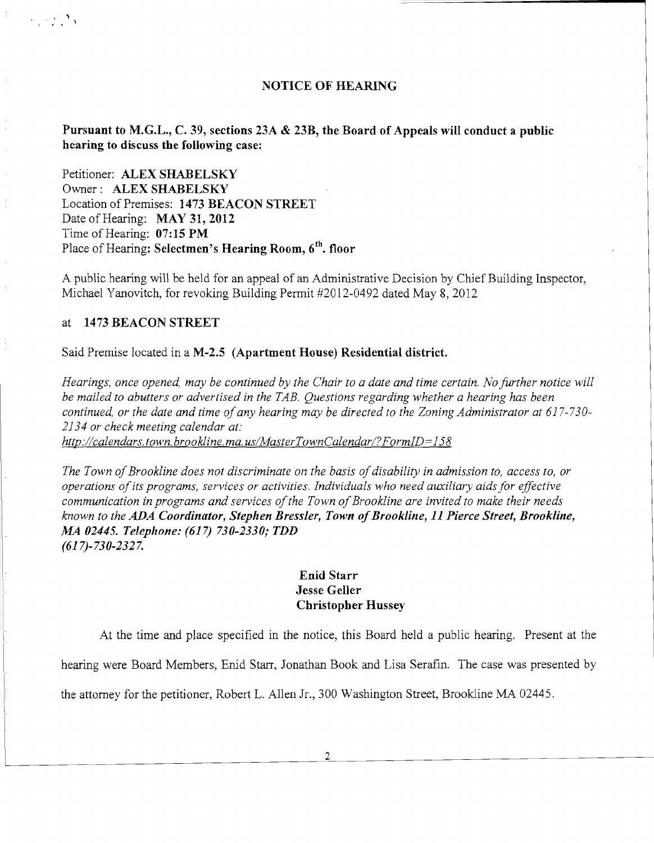#### **NOTICE OF HEARING**

#### **Pursuant to M.G.L., C. 39, sections 23A & 23B, the Board of Appeals will conduct a public hearing to discuss the following case:**

Petitioner: **ALEX SHABELSKY**  Owner: **ALEX SHABELSKY**  Location of Premises: **1473 BEACON STREET**  Date of Hearing: **MAY 31, 2012**  Time of Hearing: **07: 15 PM**  Place of Hearing: **Selectmen's Hearing Room, 6<sup>th</sup>. floor** 

A public hearing will be held for an appeal of an Administrative Decision by Chief Building Inspector, Michael Yanovitch, for revoking Building Permit #2012-0492 dated May 8, 2012

### at **1473 BEACON STREET**

, ,

Said Premise located in a **M-2.5 (Apartment House) Residential district.** 

*Hearings, once opened, may be continued by the Chair to a date and time certain. No further notice will be mailed to abutters or advertised in the TAB. Questions regarding whether a hearing has been continued, or the date and time ofany hearing may be directed to the Zoning Administrator at 617-730 2134 or check meeting calendar at: http://calendars.town.brookline.ma.usIMasterTownCalendarl?FormID=158* 

The Town of Brookline does not discriminate on the basis of disability in admission to, access to, or *operations ofits programs, services or activities. Individuals who need auxiliary aidsfor effective communication in programs and services of the Town of Brookline are invited to make their needs known to the ADA Coordinator, Stephen Bressler, Town ofBrookline,* **11** *Pierce Street, Brookline, MA 02445. Telephone:* **(617)** *730-2330,. TDD (617)-730-2327.* 

## **Enid Starr Jesse Geller Christopher Hussey**

At the time and place specified in the notice, this Board held a public hearing. Present at the

hearing were Board Members, Enid Starr, Jonathan Book and Lisa Serafin. The case was presented by

the attorney for the petitioner, Robert L. Allen Jr., 300 Washington Street, Brookline MA 02445.

2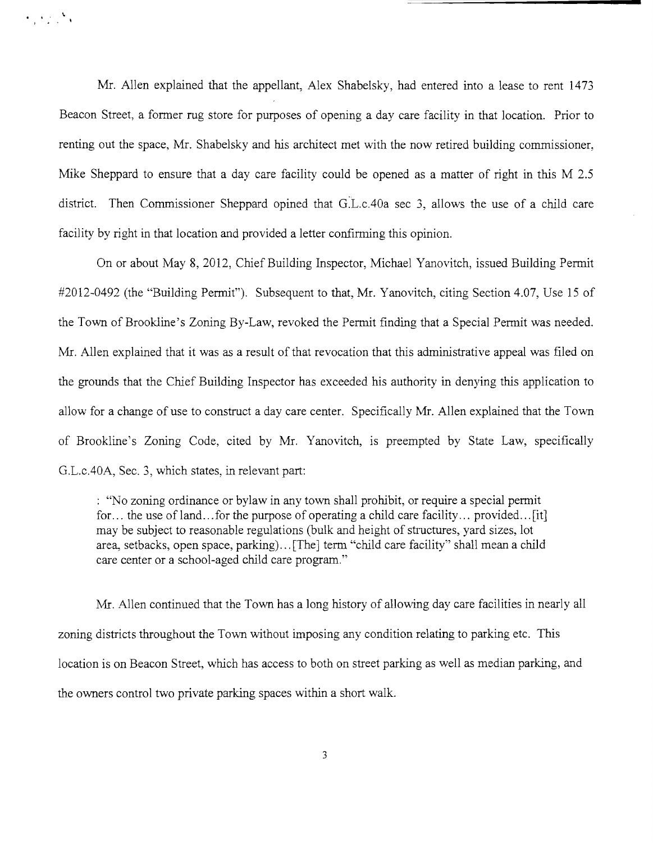Mr. Allen explained that the appellant, Alex Shabelsky, had entered into a lease to rent 1473 Beacon Street, a fonner rug store for purposes of opening a day care facility in that location. Prior to renting out the space, Mr. Shabelsky and his architect met with the now retired building commissioner, Mike Sheppard to ensure that a day care facility could be opened as a matter of right in this M 2.5 district. Then Commissioner Sheppard opined that G.L.c.40a sec 3, allows the use of a child care facility by right in that location and provided a letter confirming this opinion.

 $\mathcal{L} = \{ \mathcal{L} \}$ 

On or about May 8, 2012, Chief Building Inspector, Michael Yanovitch, issued Building Permit #2012-0492 (the "Building Permit"). Subsequent to that, Mr. Yanovitch, citing Section 4.07, Use 15 of the Town of Brookline's Zoning By-Law, revoked the Permit finding that a Special Permit was needed. Mr. Allen explained that it was as a result of that revocation that this administrative appeal was filed on the grounds that the Chief Building Inspector has exceeded his authority in denying this application to allow for a change of use to construct a day care center. Specifically Mr. Allen explained that the Town of Brookline's Zoning Code, cited by Mr. Yanovitch, is preempted by State Law, specifically G.L.cAOA, Sec. 3, which states, in relevant part:

: "No zoning ordinance or bylaw in any town shall prohibit, or require a special pennit for... the use of land...for the purpose of operating a child care facility... provided... [it] may be subject to reasonable regulations (bulk and height of structures, yard sizes, lot area, setbacks, open space, parking)...[The] term "child care facility" shall mean a child care center or a school-aged child care program."

Mr. Allen continued that the Town has a long history of allowing day care facilities in nearly all zoning districts throughout the Town without imposing any condition relating to parking etc. This location is on Beacon Street, which has access to both on street parking as well as median parking, and the owners control two private parking spaces within a short walk.